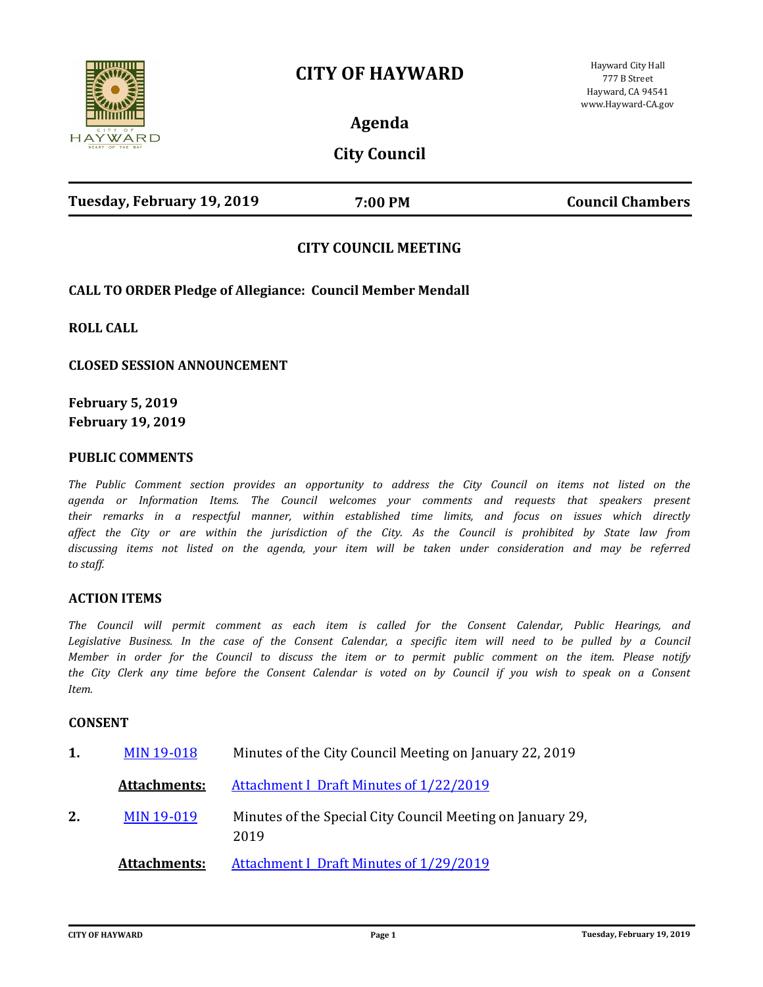# **CITY OF HAYWARD**



**Agenda**

# **City Council**

| Tuesday, February 19, 2019 | 7:00 PM | <b>Council Chambers</b> |
|----------------------------|---------|-------------------------|
|                            |         |                         |

# **CITY COUNCIL MEETING**

### **CALL TO ORDER Pledge of Allegiance: Council Member Mendall**

**ROLL CALL**

**CLOSED SESSION ANNOUNCEMENT**

**February 5, 2019 February 19, 2019**

#### **PUBLIC COMMENTS**

*The Public Comment section provides an opportunity to address the City Council on items not listed on the agenda or Information Items. The Council welcomes your comments and requests that speakers present their remarks in a respectful manner, within established time limits, and focus on issues which directly affect the City or are within the jurisdiction of the City. As the Council is prohibited by State law from discussing items not listed on the agenda, your item will be taken under consideration and may be referred to staff.*

#### **ACTION ITEMS**

*The Council will permit comment as each item is called for the Consent Calendar, Public Hearings, and*  Legislative Business. In the case of the Consent Calendar, a specific item will need to be pulled by a Council *Member in order for the Council to discuss the item or to permit public comment on the item. Please notify the City Clerk any time before the Consent Calendar is voted on by Council if you wish to speak on a Consent Item.*

#### **CONSENT**

| 1. | <b>MIN 19-018</b>   | Minutes of the City Council Meeting on January 22, 2019            |
|----|---------------------|--------------------------------------------------------------------|
|    | <b>Attachments:</b> | <b>Attachment I Draft Minutes of 1/22/2019</b>                     |
| 2. | <b>MIN 19-019</b>   | Minutes of the Special City Council Meeting on January 29,<br>2019 |
|    | <b>Attachments:</b> | <b>Attachment I Draft Minutes of 1/29/2019</b>                     |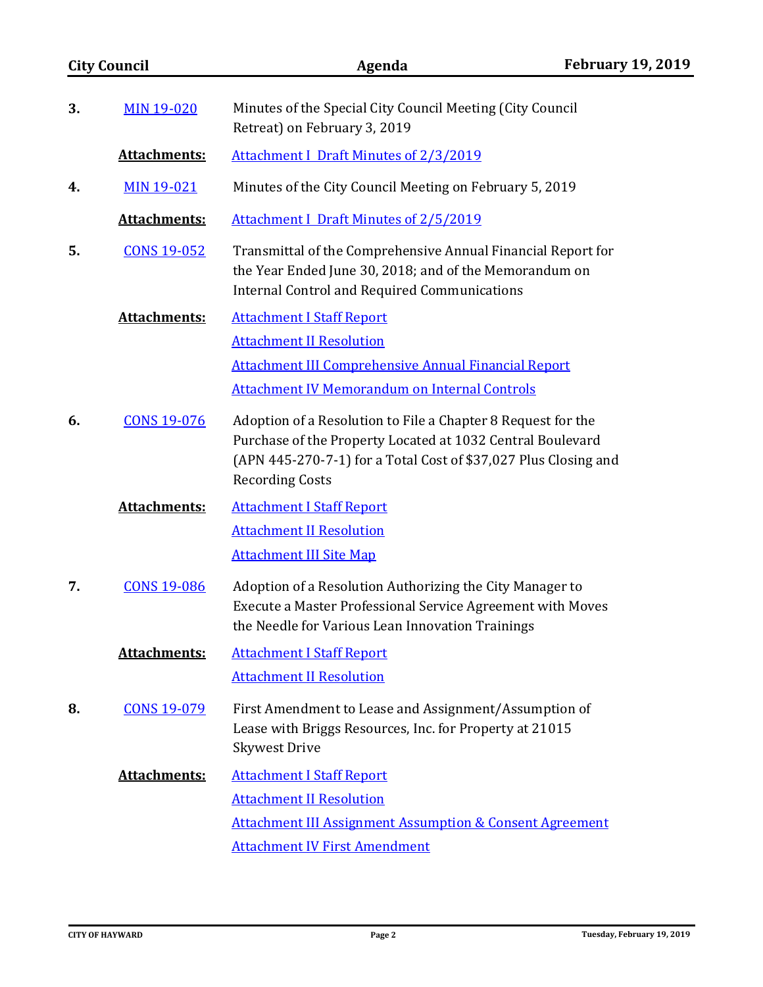| <b>City Council</b> | Agenda                                                                                                                                                                                                                  | <b>February 19, 2019</b> |
|---------------------|-------------------------------------------------------------------------------------------------------------------------------------------------------------------------------------------------------------------------|--------------------------|
| <b>MIN 19-020</b>   | Minutes of the Special City Council Meeting (City Council<br>Retreat) on February 3, 2019                                                                                                                               |                          |
| <b>Attachments:</b> | <b>Attachment I Draft Minutes of 2/3/2019</b>                                                                                                                                                                           |                          |
| <b>MIN 19-021</b>   | Minutes of the City Council Meeting on February 5, 2019                                                                                                                                                                 |                          |
| <b>Attachments:</b> | <b>Attachment I Draft Minutes of 2/5/2019</b>                                                                                                                                                                           |                          |
| <b>CONS 19-052</b>  | Transmittal of the Comprehensive Annual Financial Report for<br>the Year Ended June 30, 2018; and of the Memorandum on<br><b>Internal Control and Required Communications</b>                                           |                          |
| Attachments:        | <b>Attachment I Staff Report</b>                                                                                                                                                                                        |                          |
|                     | <b>Attachment II Resolution</b>                                                                                                                                                                                         |                          |
|                     | <b>Attachment III Comprehensive Annual Financial Report</b>                                                                                                                                                             |                          |
|                     | <b>Attachment IV Memorandum on Internal Controls</b>                                                                                                                                                                    |                          |
| <b>CONS 19-076</b>  | Adoption of a Resolution to File a Chapter 8 Request for the<br>Purchase of the Property Located at 1032 Central Boulevard<br>(APN 445-270-7-1) for a Total Cost of \$37,027 Plus Closing and<br><b>Recording Costs</b> |                          |
| <b>Attachments:</b> | <b>Attachment I Staff Report</b>                                                                                                                                                                                        |                          |
|                     | <b>Attachment II Resolution</b>                                                                                                                                                                                         |                          |
|                     | <b>Attachment III Site Map</b>                                                                                                                                                                                          |                          |
| <b>CONS 19-086</b>  | Adoption of a Resolution Authorizing the City Manager to<br>Execute a Master Professional Service Agreement with Moves<br>the Needle for Various Lean Innovation Trainings                                              |                          |
| <b>Attachments:</b> | <b>Attachment I Staff Report</b>                                                                                                                                                                                        |                          |
|                     | <b>Attachment II Resolution</b>                                                                                                                                                                                         |                          |
| <b>CONS 19-079</b>  | First Amendment to Lease and Assignment/Assumption of<br>Lease with Briggs Resources, Inc. for Property at 21015<br><b>Skywest Drive</b>                                                                                |                          |
| <b>Attachments:</b> | <b>Attachment I Staff Report</b>                                                                                                                                                                                        |                          |
|                     | <b>Attachment II Resolution</b>                                                                                                                                                                                         |                          |
|                     | <b>Attachment III Assignment Assumption &amp; Consent Agreement</b>                                                                                                                                                     |                          |
|                     | <b>Attachment IV First Amendment</b>                                                                                                                                                                                    |                          |
|                     |                                                                                                                                                                                                                         |                          |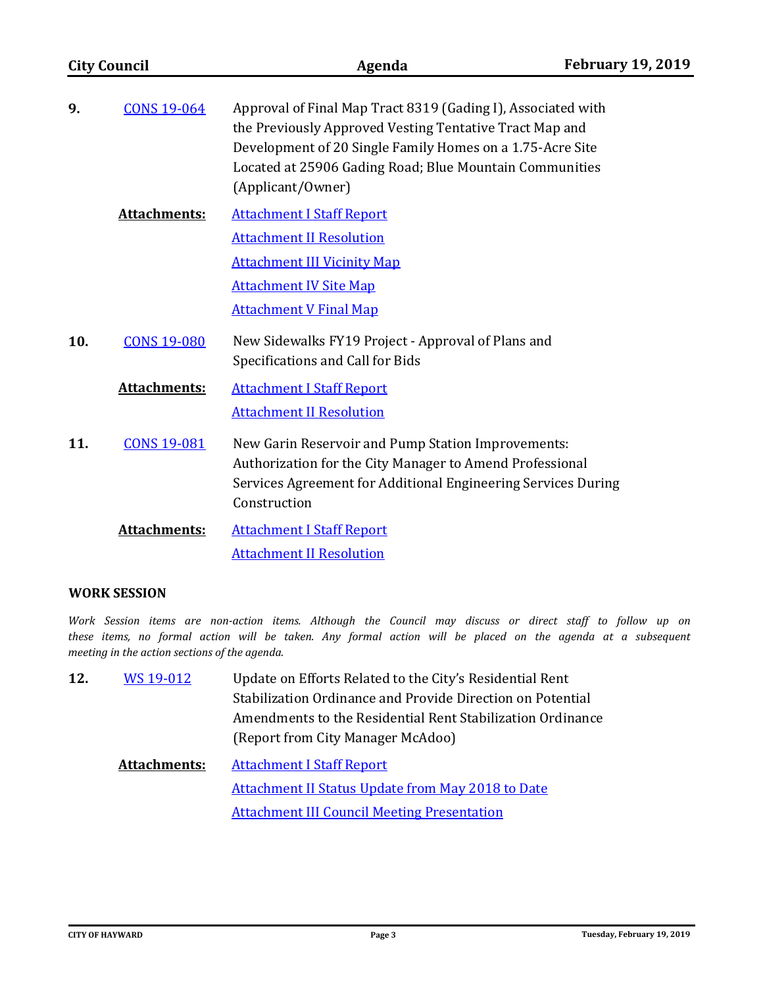| <b>City Council</b> |                     | Agenda                                                                                                                                                                                                                                                               | <b>February 19, 2019</b> |
|---------------------|---------------------|----------------------------------------------------------------------------------------------------------------------------------------------------------------------------------------------------------------------------------------------------------------------|--------------------------|
| 9.                  | <b>CONS 19-064</b>  | Approval of Final Map Tract 8319 (Gading I), Associated with<br>the Previously Approved Vesting Tentative Tract Map and<br>Development of 20 Single Family Homes on a 1.75-Acre Site<br>Located at 25906 Gading Road; Blue Mountain Communities<br>(Applicant/Owner) |                          |
|                     | <b>Attachments:</b> | <b>Attachment I Staff Report</b><br><b>Attachment II Resolution</b><br><b>Attachment III Vicinity Map</b><br><b>Attachment IV Site Map</b><br><b>Attachment V Final Map</b>                                                                                          |                          |
| 10.                 | <b>CONS 19-080</b>  | New Sidewalks FY19 Project - Approval of Plans and<br>Specifications and Call for Bids                                                                                                                                                                               |                          |
|                     | Attachments:        | <b>Attachment I Staff Report</b><br><b>Attachment II Resolution</b>                                                                                                                                                                                                  |                          |
| 11.                 | <b>CONS 19-081</b>  | New Garin Reservoir and Pump Station Improvements:<br>Authorization for the City Manager to Amend Professional<br>Services Agreement for Additional Engineering Services During<br>Construction                                                                      |                          |
|                     | <b>Attachments:</b> | <b>Attachment I Staff Report</b><br><b>Attachment II Resolution</b>                                                                                                                                                                                                  |                          |

## **WORK SESSION**

*Work Session items are non-action items. Although the Council may discuss or direct staff to follow up on these items, no formal action will be taken. Any formal action will be placed on the agenda at a subsequent meeting in the action sections of the agenda.*

- Update on Efforts Related to the City's Residential Rent Stabilization Ordinance and Provide Direction on Potential Amendments to the Residential Rent Stabilization Ordinance (Report from City Manager McAdoo) **12.** [WS 19-012](http://hayward.legistar.com/gateway.aspx?m=l&id=/matter.aspx?key=5545)
	- **Attachments:** [Attachment I Staff Report](http://hayward.legistar.com/gateway.aspx?M=F&ID=834bdc2c-dc51-4817-a467-cff335126f27.docx) [Attachment II Status Update from May 2018 to Date](http://hayward.legistar.com/gateway.aspx?M=F&ID=cae06057-a4cb-40b4-bf2f-d010602e9a97.docx) [Attachment III Council Meeting Presentation](http://hayward.legistar.com/gateway.aspx?M=F&ID=fb438c23-fb7a-4aae-be00-9a07d23e4441.pps)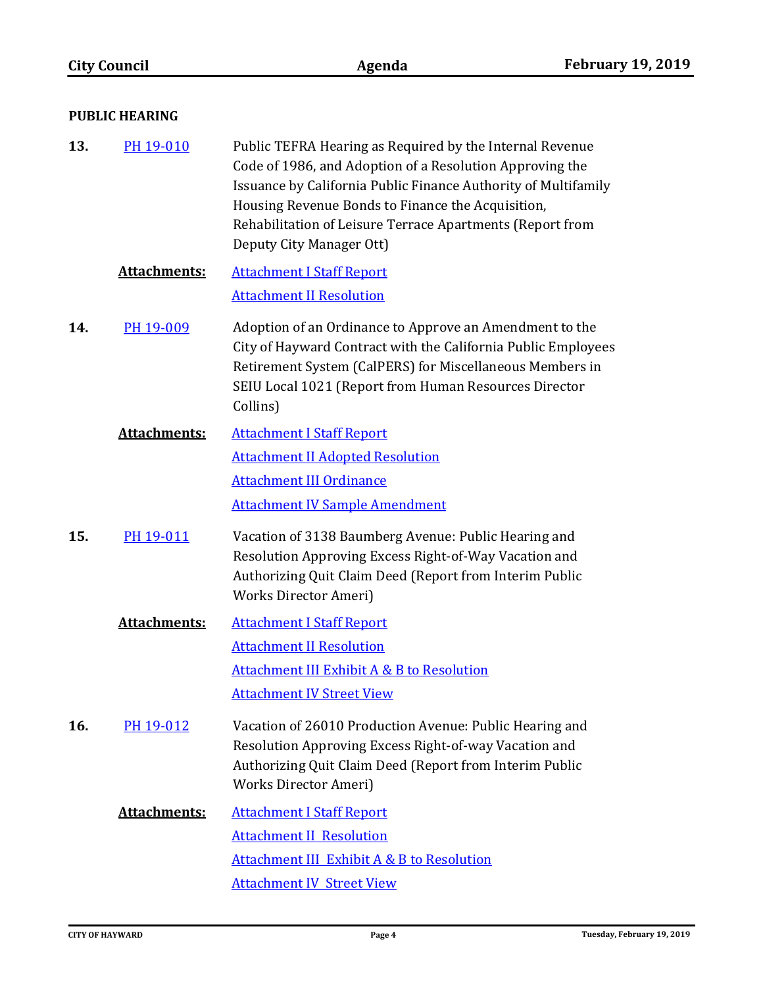| <b>PUBLIC HEARING</b> |                     |                                                                                                                                                                                                                                                                                                                                      |
|-----------------------|---------------------|--------------------------------------------------------------------------------------------------------------------------------------------------------------------------------------------------------------------------------------------------------------------------------------------------------------------------------------|
| 13.                   | PH 19-010           | Public TEFRA Hearing as Required by the Internal Revenue<br>Code of 1986, and Adoption of a Resolution Approving the<br>Issuance by California Public Finance Authority of Multifamily<br>Housing Revenue Bonds to Finance the Acquisition,<br>Rehabilitation of Leisure Terrace Apartments (Report from<br>Deputy City Manager Ott) |
|                       | Attachments:        | <b>Attachment I Staff Report</b>                                                                                                                                                                                                                                                                                                     |
|                       |                     | <b>Attachment II Resolution</b>                                                                                                                                                                                                                                                                                                      |
| 14.                   | PH 19-009           | Adoption of an Ordinance to Approve an Amendment to the<br>City of Hayward Contract with the California Public Employees<br>Retirement System (CalPERS) for Miscellaneous Members in<br>SEIU Local 1021 (Report from Human Resources Director<br>Collins)                                                                            |
|                       | <b>Attachments:</b> | <b>Attachment I Staff Report</b>                                                                                                                                                                                                                                                                                                     |
|                       |                     | <b>Attachment II Adopted Resolution</b>                                                                                                                                                                                                                                                                                              |
|                       |                     | <b>Attachment III Ordinance</b>                                                                                                                                                                                                                                                                                                      |
|                       |                     | <b>Attachment IV Sample Amendment</b>                                                                                                                                                                                                                                                                                                |
| 15.                   | PH 19-011           | Vacation of 3138 Baumberg Avenue: Public Hearing and<br>Resolution Approving Excess Right-of-Way Vacation and<br>Authorizing Quit Claim Deed (Report from Interim Public<br>Works Director Ameri)                                                                                                                                    |
|                       | <b>Attachments:</b> | <b>Attachment I Staff Report</b>                                                                                                                                                                                                                                                                                                     |
|                       |                     | <b>Attachment II Resolution</b>                                                                                                                                                                                                                                                                                                      |
|                       |                     | Attachment III Exhibit A & B to Resolution                                                                                                                                                                                                                                                                                           |
|                       |                     | <b>Attachment IV Street View</b>                                                                                                                                                                                                                                                                                                     |
| 16.                   | PH 19-012           | Vacation of 26010 Production Avenue: Public Hearing and<br>Resolution Approving Excess Right-of-way Vacation and<br>Authorizing Quit Claim Deed (Report from Interim Public<br>Works Director Ameri)                                                                                                                                 |
|                       | <b>Attachments:</b> | <b>Attachment I Staff Report</b>                                                                                                                                                                                                                                                                                                     |
|                       |                     | <b>Attachment II Resolution</b>                                                                                                                                                                                                                                                                                                      |
|                       |                     | <b>Attachment III Exhibit A &amp; B to Resolution</b>                                                                                                                                                                                                                                                                                |
|                       |                     | <b>Attachment IV Street View</b>                                                                                                                                                                                                                                                                                                     |